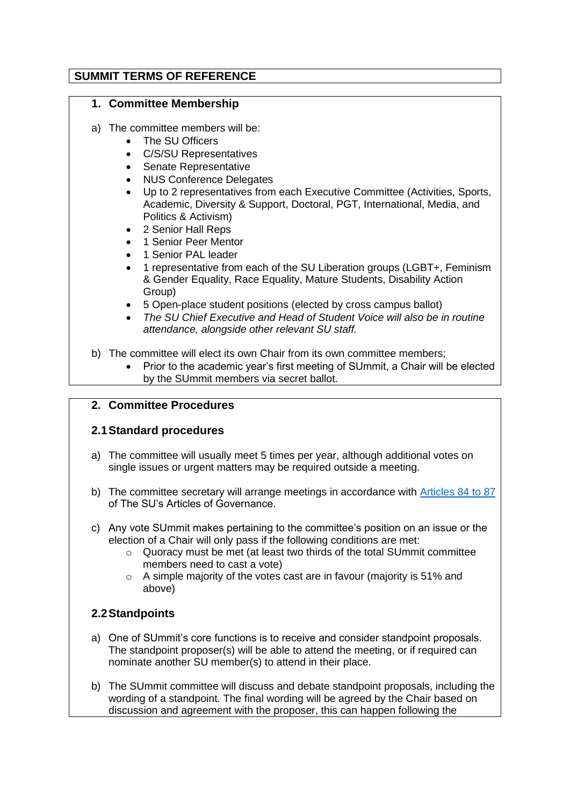### **SUMMIT TERMS OF REFERENCE**

#### **1. Committee Membership**

- a) The committee members will be:
	- The SU Officers
	- C/S/SU Representatives
	- Senate Representative
	- NUS Conference Delegates
	- Up to 2 representatives from each Executive Committee (Activities, Sports, Academic, Diversity & Support, Doctoral, PGT, International, Media, and Politics & Activism)
	- 2 Senior Hall Reps
	- 1 Senior Peer Mentor
	- 1 Senior PAL leader
	- 1 representative from each of the SU Liberation groups (LGBT+, Feminism & Gender Equality, Race Equality, Mature Students, Disability Action Group)
	- 5 Open-place student positions (elected by cross campus ballot)
	- *The SU Chief Executive and Head of Student Voice will also be in routine attendance, alongside other relevant SU staff.*
- b) The committee will elect its own Chair from its own committee members;
	- Prior to the academic year's first meeting of SUmmit, a Chair will be elected by the SUmmit members via secret ballot.

### **2. Committee Procedures**

### **2.1Standard procedures**

- a) The committee will usually meet 5 times per year, although additional votes on single issues or urgent matters may be required outside a meeting.
- b) The committee secretary will arrange meetings in accordance with [Articles 84 to 87](https://www.thesubath.com/governance/articles/#a82) of The SU's Articles of Governance.
- c) Any vote SUmmit makes pertaining to the committee's position on an issue or the election of a Chair will only pass if the following conditions are met:
	- o Quoracy must be met (at least two thirds of the total SUmmit committee members need to cast a vote)
	- o A simple majority of the votes cast are in favour (majority is 51% and above)

### **2.2Standpoints**

- a) One of SUmmit's core functions is to receive and consider standpoint proposals. The standpoint proposer(s) will be able to attend the meeting, or if required can nominate another SU member(s) to attend in their place.
- b) The SUmmit committee will discuss and debate standpoint proposals, including the wording of a standpoint. The final wording will be agreed by the Chair based on discussion and agreement with the proposer, this can happen following the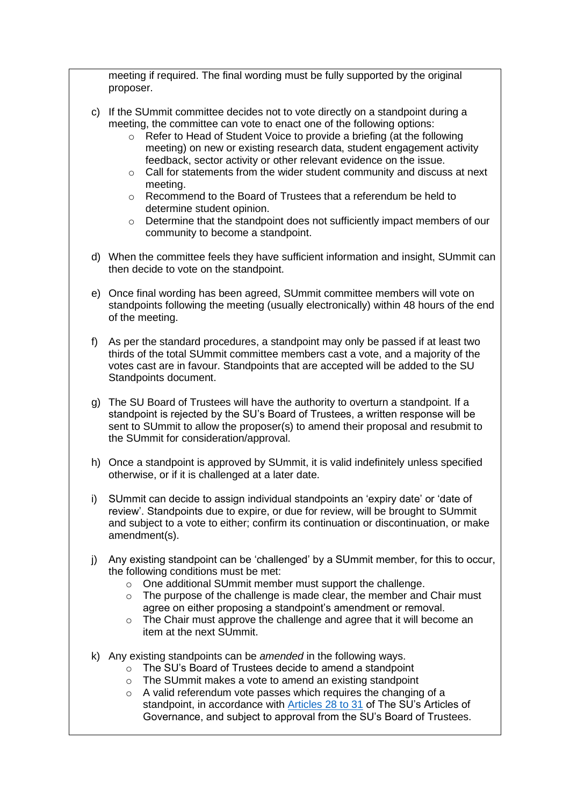meeting if required. The final wording must be fully supported by the original proposer.

- c) If the SUmmit committee decides not to vote directly on a standpoint during a meeting, the committee can vote to enact one of the following options:
	- o Refer to Head of Student Voice to provide a briefing (at the following meeting) on new or existing research data, student engagement activity feedback, sector activity or other relevant evidence on the issue.
	- o Call for statements from the wider student community and discuss at next meeting.
	- o Recommend to the Board of Trustees that a referendum be held to determine student opinion.
	- o Determine that the standpoint does not sufficiently impact members of our community to become a standpoint.
- d) When the committee feels they have sufficient information and insight, SUmmit can then decide to vote on the standpoint.
- e) Once final wording has been agreed, SUmmit committee members will vote on standpoints following the meeting (usually electronically) within 48 hours of the end of the meeting.
- f) As per the standard procedures, a standpoint may only be passed if at least two thirds of the total SUmmit committee members cast a vote, and a majority of the votes cast are in favour. Standpoints that are accepted will be added to the SU Standpoints document.
- g) The SU Board of Trustees will have the authority to overturn a standpoint. If a standpoint is rejected by the SU's Board of Trustees, a written response will be sent to SUmmit to allow the proposer(s) to amend their proposal and resubmit to the SUmmit for consideration/approval.
- h) Once a standpoint is approved by SUmmit, it is valid indefinitely unless specified otherwise, or if it is challenged at a later date.
- i) SUmmit can decide to assign individual standpoints an 'expiry date' or 'date of review'. Standpoints due to expire, or due for review, will be brought to SUmmit and subject to a vote to either; confirm its continuation or discontinuation, or make amendment(s).
- j) Any existing standpoint can be 'challenged' by a SUmmit member, for this to occur, the following conditions must be met:
	- o One additional SUmmit member must support the challenge.
	- o The purpose of the challenge is made clear, the member and Chair must agree on either proposing a standpoint's amendment or removal.
	- o The Chair must approve the challenge and agree that it will become an item at the next SUmmit.
- k) Any existing standpoints can be *amended* in the following ways.
	- o The SU's Board of Trustees decide to amend a standpoint
	- o The SUmmit makes a vote to amend an existing standpoint
	- o A valid referendum vote passes which requires the changing of a standpoint, in accordance with [Articles 28 to 31](https://www.thesubath.com/governance/articles/#a28) of The SU's Articles of Governance, and subject to approval from the SU's Board of Trustees.